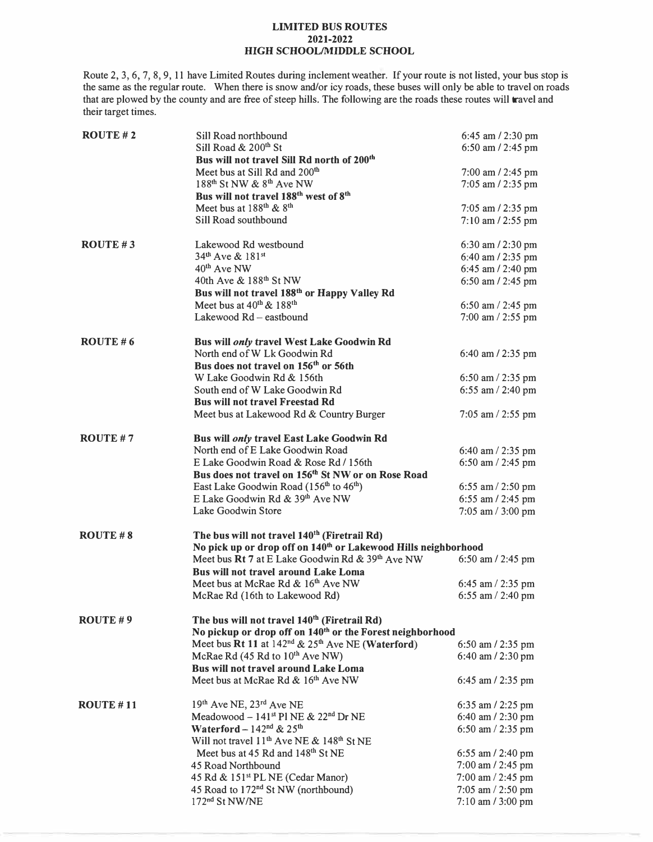## **LIMITED BUS ROUTES 2021-2022 HIGH SCHOOL/MIDDLE SCHOOL**

Route 2, 3, 6, 7, 8, 9, 11 have Limited Routes during inclement weather. If your route is not listed, your bus stop is the same as the regular route. When there is snow and/or icy roads, these buses will only be able to travel on roads that are plowed by the county and are free of steep hills. The following are the roads these routes will travel and their target times.

| ROUTE $# 2$      | Sill Road northbound                                                                          | 6:45 am / 2:30 pm     |  |
|------------------|-----------------------------------------------------------------------------------------------|-----------------------|--|
|                  | Sill Road & 200 <sup>th</sup> St                                                              | 6:50 am / 2:45 pm     |  |
|                  | Bus will not travel Sill Rd north of 200 <sup>th</sup>                                        |                       |  |
|                  | Meet bus at Sill Rd and 200 <sup>th</sup><br>188 <sup>th</sup> St NW & 8 <sup>th</sup> Ave NW | $7:00$ am $/$ 2:45 pm |  |
|                  | Bus will not travel 188 <sup>th</sup> west of 8 <sup>th</sup>                                 | 7:05 am / 2:35 pm     |  |
|                  | Meet bus at 188 <sup>th</sup> & 8 <sup>th</sup>                                               |                       |  |
|                  | Sill Road southbound                                                                          | $7:05$ am $/2:35$ pm  |  |
|                  |                                                                                               | $7:10$ am $/$ 2:55 pm |  |
| ROUTE $#3$       | Lakewood Rd westbound                                                                         | 6:30 am / 2:30 pm     |  |
|                  | 34 <sup>th</sup> Ave & 181 <sup>st</sup>                                                      | 6:40 am / 2:35 pm     |  |
|                  | 40 <sup>th</sup> Ave NW                                                                       | 6:45 am / 2:40 pm     |  |
|                  | 40th Ave & 188 <sup>th</sup> St NW                                                            | 6:50 am / 2:45 pm     |  |
|                  | Bus will not travel 188 <sup>th</sup> or Happy Valley Rd                                      |                       |  |
|                  | Meet bus at $40^{th}$ & $188^{th}$                                                            | 6:50 am / 2:45 pm     |  |
|                  | Lakewood Rd - eastbound                                                                       | 7:00 am / 2:55 pm     |  |
| ROUTE $# 6$      | Bus will only travel West Lake Goodwin Rd                                                     |                       |  |
|                  | North end of W Lk Goodwin Rd                                                                  | 6:40 am / 2:35 pm     |  |
|                  | Bus does not travel on 156 <sup>th</sup> or 56th                                              |                       |  |
|                  | W Lake Goodwin Rd & 156th                                                                     | 6:50 am $/$ 2:35 pm   |  |
|                  | South end of W Lake Goodwin Rd                                                                | 6:55 am / 2:40 pm     |  |
|                  | <b>Bus will not travel Freestad Rd</b>                                                        |                       |  |
|                  | Meet bus at Lakewood Rd & Country Burger                                                      | $7:05$ am $/$ 2:55 pm |  |
| ROUTE $# 7$      | Bus will only travel East Lake Goodwin Rd                                                     |                       |  |
|                  | North end of E Lake Goodwin Road                                                              | 6:40 am $/$ 2:35 pm   |  |
|                  | E Lake Goodwin Road & Rose Rd / 156th                                                         | 6:50 am / 2:45 pm     |  |
|                  | Bus does not travel on 156 <sup>th</sup> St NW or on Rose Road                                |                       |  |
|                  | East Lake Goodwin Road (156 <sup>th</sup> to 46 <sup>th</sup> )                               | 6:55 am $/$ 2:50 pm   |  |
|                  | E Lake Goodwin Rd & 39th Ave NW                                                               | 6:55 am / 2:45 pm     |  |
|                  | Lake Goodwin Store                                                                            | 7:05 am / 3:00 pm     |  |
| $ROUTE \# 8$     | The bus will not travel 140 <sup>th</sup> (Firetrail Rd)                                      |                       |  |
|                  | No pick up or drop off on 140 <sup>th</sup> or Lakewood Hills neighborhood                    |                       |  |
|                  | Meet bus Rt 7 at E Lake Goodwin Rd & 39th Ave NW                                              | 6:50 am $/$ 2:45 pm   |  |
|                  | Bus will not travel around Lake Loma                                                          |                       |  |
|                  | Meet bus at McRae Rd & 16th Ave NW                                                            | 6:45 am $/$ 2:35 pm   |  |
|                  | McRae Rd (16th to Lakewood Rd)                                                                | 6:55 am $/$ 2:40 pm   |  |
| ROUTE $# 9$      | The bus will not travel 140 <sup>th</sup> (Firetrail Rd)                                      |                       |  |
|                  | No pickup or drop off on 140 <sup>th</sup> or the Forest neighborhood                         |                       |  |
|                  | Meet bus Rt 11 at 142 <sup>nd</sup> & 25 <sup>th</sup> Ave NE (Waterford)                     | 6:50 am / 2:35 pm     |  |
|                  | McRae Rd (45 Rd to 10 <sup>th</sup> Ave NW)                                                   | 6:40 am / 2:30 pm     |  |
|                  | <b>Bus will not travel around Lake Loma</b>                                                   |                       |  |
|                  | Meet bus at McRae Rd & 16th Ave NW                                                            | 6:45 am / 2:35 pm     |  |
| <b>ROUTE #11</b> | 19th Ave NE, 23rd Ave NE                                                                      | 6:35 am / 2:25 pm     |  |
|                  | Meadowood - $141st$ Pl NE & $22nd$ Dr NE                                                      | 6:40 am / 2:30 pm     |  |
|                  | Waterford - $142nd$ & $25th$                                                                  | 6:50 am / 2:35 pm     |  |
|                  | Will not travel 11 <sup>th</sup> Ave NE & 148 <sup>th</sup> St NE                             |                       |  |
|                  | Meet bus at 45 Rd and 148 <sup>th</sup> St NE                                                 | 6:55 am / 2:40 pm     |  |
|                  | 45 Road Northbound                                                                            | 7:00 am / 2:45 pm     |  |
|                  | 45 Rd & 151 <sup>st</sup> PL NE (Cedar Manor)                                                 | 7:00 am / 2:45 pm     |  |
|                  | 45 Road to 172 <sup>nd</sup> St NW (northbound)                                               | $7:05$ am $/ 2:50$ pm |  |
|                  | 172 <sup>nd</sup> St NW/NE                                                                    | 7:10 am / 3:00 pm     |  |